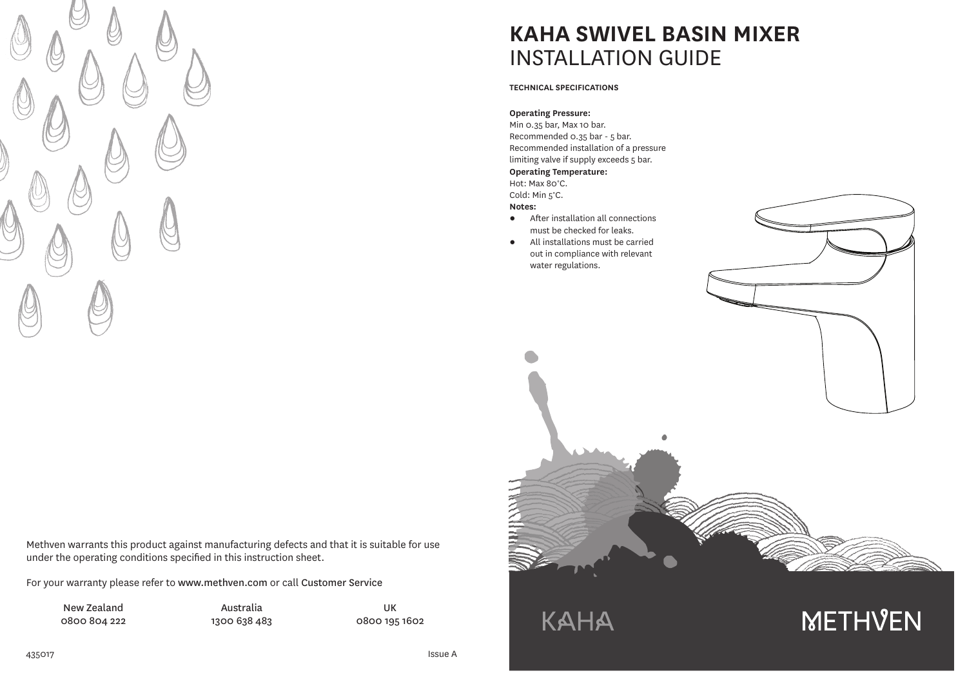

Methven warrants this product against manufacturing defects and that it is suitable for use under the operating conditions specified in this instruction sheet.

For your warranty please refer to www.methven.com or call Customer Service

New Zealand 0800 804 222

Australia 1300 638 483

0800 195 1602

UK

**KAHA SWIVEL BASIN MIXER** INSTALLATION GUIDE

### **TECHNICAL SPECIFICATIONS**

### **Operating Pressure:**

Min 0.35 bar, Max 10 bar. Recommended 0.35 bar - 5 bar. Recommended installation of a pressure limiting valve if supply exceeds 5 bar. **Operating Temperature:** Hot: Max 80°C.

### Cold: Min 5°C.

**Notes:**

- After installation all connections must be checked for leaks.
- All installations must be carried out in compliance with relevant water regulations.